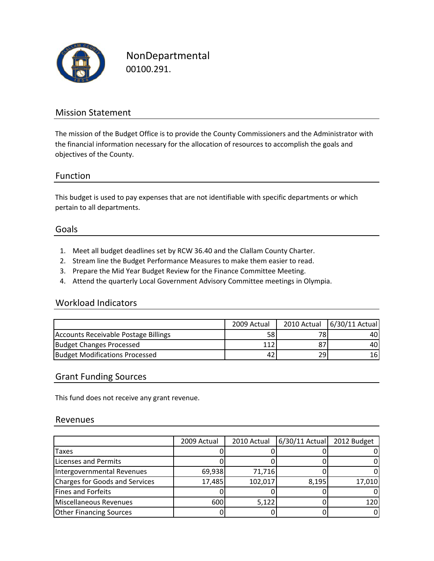

NonDepartmental 00100.291.

## Mission Statement

The mission of the Budget Office is to provide the County Commissioners and the Administrator with the financial information necessary for the allocation of resources to accomplish the goals and objectives of the County.

## Function

This budget is used to pay expenses that are not identifiable with specific departments or which pertain to all departments.

#### Goals

- 1. Meet all budget deadlines set by RCW 36.40 and the Clallam County Charter.
- 2. Stream line the Budget Performance Measures to make them easier to read.
- 3. Prepare the Mid Year Budget Review for the Finance Committee Meeting.
- 4. Attend the quarterly Local Government Advisory Committee meetings in Olympia.

## Workload Indicators

|                                       | 2009 Actual |    | 2010 Actual 6/30/11 Actual |
|---------------------------------------|-------------|----|----------------------------|
| Accounts Receivable Postage Billings  | 58          | 78 | 40 <sup>1</sup>            |
| Budget Changes Processed              | 112         |    | 40I                        |
| <b>Budget Modifications Processed</b> | 42          | 29 | 16                         |

#### Grant Funding Sources

This fund does not receive any grant revenue.

#### Revenues

|                                | 2009 Actual | 2010 Actual | $6/30/11$ Actual | 2012 Budget |
|--------------------------------|-------------|-------------|------------------|-------------|
| Taxes                          |             |             |                  | 0           |
| Licenses and Permits           |             |             |                  | 0           |
| Intergovernmental Revenues     | 69,938      | 71,716      |                  | 0           |
| Charges for Goods and Services | 17,485      | 102,017     | 8,195            | 17,010      |
| <b>Fines and Forfeits</b>      |             |             |                  | 0           |
| Miscellaneous Revenues         | 600         | 5,122       |                  | 120         |
| <b>Other Financing Sources</b> |             |             |                  | 0           |